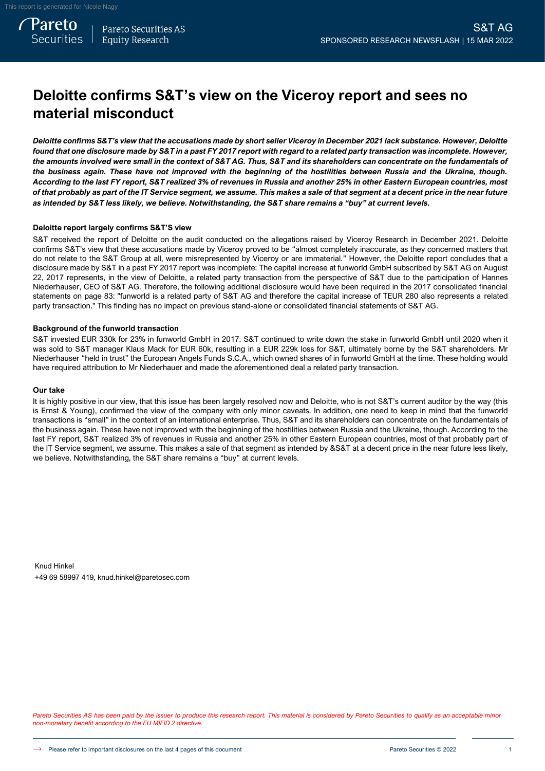# **Deloitte confirms S&T's view on the Viceroy report and sees no material misconduct**

*Deloitte confirms S&T's view that the accusations made by short seller Viceroy in December 2021 lack substance. However, Deloitte found that one disclosure made by S&T in a past FY 2017 report with regard to a related party transaction was incomplete. However, the amounts involved were small in the context of S&T AG. Thus, S&T and its shareholders can concentrate on the fundamentals of the business again. These have not improved with the beginning of the hostilities between Russia and the Ukraine, though. According to the last FY report, S&T realized 3% of revenues in Russia and another 25% in other Eastern European countries, most of that probably as part of the IT Service segment, we assume. This makes a sale of that segment at a decent price in the near future as intended by S&T less likely, we believe. Notwithstanding, the S&T share remains a "buy" at current levels.*

## **Deloitte report largely confirms S&T'S view**

S&T received the report of Deloitte on the audit conducted on the allegations raised by Viceroy Research in December 2021. Deloitte confirms S&T's view that these accusations made by Viceroy proved to be "almost completely inaccurate, as they concerned matters that do not relate to the S&T Group at all, were misrepresented by Viceroy or are immaterial." However, the Deloitte report concludes that a disclosure made by S&T in a past FY 2017 report was incomplete: The capital increase at funworld GmbH subscribed by S&T AG on August 22, 2017 represents, in the view of Deloitte, a related party transaction from the perspective of S&T due to the participation of Hannes Niederhauser, CEO of S&T AG. Therefore, the following additional disclosure would have been required in the 2017 consolidated financial statements on page 83: "funworld is a related party of S&T AG and therefore the capital increase of TEUR 280 also represents a related party transaction." This finding has no impact on previous stand-alone or consolidated financial statements of S&T AG.

## **Background of the funworld transaction**

S&T invested EUR 330k for 23% in funworld GmbH in 2017. S&T continued to write down the stake in funworld GmbH until 2020 when it was sold to S&T manager Klaus Mack for EUR 60k, resulting in a EUR 229k loss for S&T, ultimately borne by the S&T shareholders. Mr Niederhauser "held in trust" the European Angels Funds S.C.A., which owned shares of in funworld GmbH at the time. These holding would have required attribution to Mr Niederhauer and made the aforementioned deal a related party transaction.

## **Our take**

It is highly positive in our view, that this issue has been largely resolved now and Deloitte, who is not S&T's current auditor by the way (this is Ernst & Young), confirmed the view of the company with only minor caveats. In addition, one need to keep in mind that the funworld transactions is "small" in the context of an international enterprise. Thus, S&T and its shareholders can concentrate on the fundamentals of the business again. These have not improved with the beginning of the hostilities between Russia and the Ukraine, though. According to the last FY report, S&T realized 3% of revenues in Russia and another 25% in other Eastern European countries, most of that probably part of the IT Service segment, we assume. This makes a sale of that segment as intended by &S&T at a decent price in the near future less likely, we believe. Notwithstanding, the S&T share remains a "buy" at current levels.

Knud Hinkel +49 69 58997 419, knud.hinkel@paretosec.com

Pareto Securities AS has been paid by the issuer to produce this research report. This material is considered by Pareto Securities to qualify as an acceptable minor *non-monetary benefit according to the EU MIFID 2 directive.*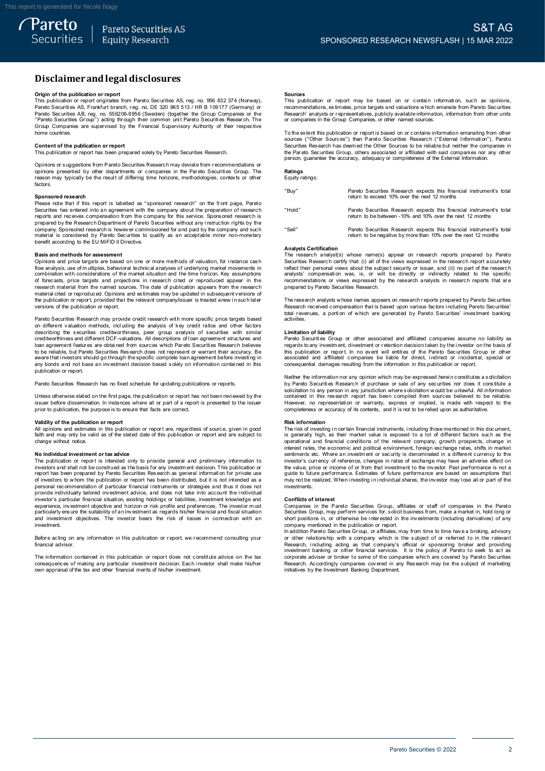# **Disclaimerandlegal disclosures Disclaimer and legal disclosures<br>Origin of the publication or report<br>This publication or report originates from Pareto Securities AS, reg. no. 956 632 374 (Norway),**

**DISCIAIMET AND LEGAL DISCIOSUTES**<br>Prigin of the publication or report<br>This publication or report orginates from Pareto Securities AS, reg. no. 956 632 374 (Norway)<br>Pareto Securities AS, Frankfurt branch, reg. no. DE 320 9 Pareto Securities AB, reg. no. 556206-8956 (Sweden) (together the Group Companies or the **Origin of the publication or report**<br>This publication or report originates from Pareto Securities AS, reg. no. 956 632 374 (Norway)<br>Pareto Securities AS, Frankfurt branch, reg. no. DE 320 965 513 / HR B 109177 (Germany) o home countries. **Contract Contract Contents of oup"** acting the<br>Group Companies are supervised by<br>home countries.<br>Content of the publication or report<br>This publication or report has been pre The coup Companies are supervised by the Financial Supervisory Authority of their respective<br>home countries.<br>Content of the publication or report<br>This publication or report has been prepared solely by Pareto Securities Res

Opinions or s uggestions from Pareto Securities Research may deviate from r ecommendations or **Content of the publication or report**<br>This publication or report has been prepared solely by Pareto Securities Research.<br>Opinions or suggestions from Pareto Securities Research may deviate from recommendations or<br>periodis factors. Please nay typically be the result of differing time horizons, methodologies, contexts or other<br>factors.<br>Sponsored research<br>Please note that if this report is labelled as "sponsored research" on the front page, Pareto<br>Secu

**Sponsored research**<br>Please note that if this report is labelled as "sponsored research" on the front page, Pareto Factors.<br>
Sponsored research<br>
Please note that if this report is labelled as "sponsored research" on the front page, Pareto<br>
Securities has entered into an agreement with the company about the preparation of research<br>
prep prepared by the Research Department of Pareto Securities without any instruction rights by the company. Sponsored research is however commissioned for and paid by the company and such material is considered by Pareto Secur

## **Basis and methods for assessment**

contential is considered by Pareto Securities to quality as an acceptable minor non-monetary<br>benefit according to the EU MiFID II Directive.<br>**Basis and methods for assessment**<br>Opinions and price targets are based on one or research material from the named sources. The date of publication appears from the research flow analysis, use of multiples, behavioral technical analyses of underlying market movements in combination with considerations of the market situation and the time horizon. Key assumptions of forecasts, price targets and the combination with considerations of the market situation and the time horizon. Key assumptions of forecasts, price targets and projections in research cited or reproduced appear in the research material from the named s

Pareto Securities Research may provide credit research with more specific price targets based on different valuation methods, including the analysis of key credit ratios and other factors on different valuation or report, provided that the relevant company/issuer is treated anew in such later<br>versions of the publication or report.<br>Pareto Securities Research may provide credit research with more specific pri Persions of the publication or report.<br>Pareto Securities Research may provide credit research with more specific price targets based<br>on different valuation methods, including the analysis of key credit ratios and other fac loan agreement features are obtained from sources which Pareto Securities Research believes<br>to be reliable, but Pareto Securities Research does not represent or warrant their accuracy. Be<br>aware that investors should go thr publication or report.

Pareto Securities Research has no fixed schedule for updating publications or reports.

any but also an interested an investment decision based body on information or reports.<br>Pareto Securities Research has no fixed schedule for updating publications or reports.<br>Unless otherwise stated on the first page, the Unless otherwise stated on the first page, the publication or report has not been reviewed by the<br>
pusies the fore dissemination. In instances where all or part of a report is presented to the issuer<br> **propertion**<br>
All opi

faith and may only be valid as of the state as well as of the state of the state of the state of the publication, the purpose is to ensure that facts are correct.<br> **Validity of the publication or report**<br>
All opinions and change without notice. **N or investment or the publication or report are, regardless of source, given in good<br>faith and may only be valid as of the stated date of this publication or report and are subject to<br>change without notice.<br>The publicati** 

Change without intesting to the state of the state of the presence of the presence in the state of the publication or report is intended only to provide general and preliminary information to investors and shall not be con The parameter of the constructed as the basis for any investment and purchasting in interestions and shall not be construed as the basis for any investment decision. This publication or report has been prepared by Pareto S investment. experience, investment objective and horizon or risk profile and preferences. The investor must particularly ensure the suitability of an investment as regards his/her financial and fiscal situation and investment objectiv

financial advisor

Investment<br>Before acting on any information in this publication or report, we recommend consulting your<br>financial advisor.<br>Consequences of making any particular investment decision. Each investor shall make his/her<br>consequ

### **Sources**

**Sources**<br>This publication or report may be based on or contain information, such as opinions,<br>recommendations, estimates, price targets and valuations which emanate from Pareto Securities<br>Research' analysts or representat **Sources**<br>This publication or report may be based on or contain<br>recommendations, estimates, price targets and valuations which<br>Research' analysts or representatives, publicly available informa<br>or companies in the Group Com The extent this publication or report is based on or contains which emanate from Pareto Securities<br>
Research' analysts or representatives, publicly available information, information from other units<br>
or companies in the G

Securities Res earch the Group Companies, or other named sources.<br>To the extent this publication or report is based on or contains information emanating from other<br>Sources ("Other Sources") than Pareto Securities Research person, guarantee the accuracy, adequacy or completeness of the External Information.

# **Ratings** Equity ratings:

| "Buy"  | Pareto Securities Research expects this financial instrument's total<br>return to exceed 10% over the next 12 months                   |
|--------|----------------------------------------------------------------------------------------------------------------------------------------|
| "Hold" | Pareto Securities Research expects this financial instrument's total<br>return to be between -10% and 10% over the next 12 months      |
| "Sell" | Pareto Securities Research expects this financial instrument's total<br>return to be negative by more than 10% over the next 12 months |

## **Analysts Certification**

The research analyst(s) whose name(s) appear on research reports prepared by Pareto Securities Research certify that: (i) all of the views expressed in the research report accurately reflect their personal views about the subject security or issuer, and (ii) no part of the research analysts' compensation reflect their personal views about the subject security or issuer, and (ii) no part of the research Analysts Certification<br>The research analyst(s) whose name(s) appear on research reports prepared by Pareto<br>Securities Research certify that (i) all of the views expressed in the research report accurately<br>reflect their per

concinuent pursuant analysis' compensation was, is, or will be directly or indirectly related to the specific<br>recommendations or views expressed by the research analysts in research reports that are<br>prepared by Pareto Secu activities. **Limitation**<br> **Research received** contractivities.<br> **Limitation of liability**<br> **Pareto Securities Green** Pareto Securities' investment banking<br>activities.<br> **Limitation of liability**<br>
Pareto Securities Group or other associated and affiliated companies assume no liability as<br>
reqards to any investment, divestment or retention

Pareto Securities Group or other associated and affiliated companies assume no liability as Denited in of liability<br>
Limitation of liability<br>
Pareto Securities Group or other associated and affiliated companies assume no liability as<br>
regards to any investment, divestment or retention decision taken by the invest Neither the information or report. In no event will entities of the Pareto Securities Group or other<br>associated and affiliated companies be liable for direct, indirect or incidental, special or<br>consequential damages result

associated and affiliated companies be liable for direct, indirect or incidental, special or<br>associated and affiliated companies be liable for direct, indirect or incidental, special or<br>consequential damages resulting from

### **Risk information**

However, no representation or warranty, express or implied, is made with respect to the completeness or accuracy of its contents, and it is not to be relied upon as authoritative.<br> **Risk information**<br>
The risk of investing completeness or accuracy of its contents, and it is not to be relied upon as authoritative.<br> **Risk information**<br> **Risk information**<br> **Risk information**<br> **Risk information**<br> **Risk information**<br> **Risk information**<br> **Risk inf** interest rates, the economic and political environment, foreign exchange rates, shifts in market<br>sentiments etc. Where an investor's currency to the original in adifferent currency to the<br>investor's currency of reference, the value of or income or from that investment that investors are performed in a different currency to the investor's currency of reference, changes in rates of exchange may have an adverse effect on the investor's currenc marks traces, the continuous and pollonial shares, the continents etc. Where an investment of security is denominated in a different currency to the investor's currency of reference, changes in rates of exchange may have a investments. **Conflicts** be functionary prior of the performal problem in the performal problem of the conflicts of interest Companies in the P

grave of the realized. When investing in individual shares, the investor may lose all or part of the<br>investments.<br>Conflicts of interest<br>Comparises in the Pareto Securities Group, affiliates or staff of companies in the Par

Companies in the Pareto Securities Group, affiliates or staff of companies in the Pareto Securities Group, may perform services for, solicit business from, make a market in, hold long or short positions in, or otherwise be or other relationship with a company which is the subject of or referred to in the relevant Research, including acting as that company's official or sponsoring broker and providing investment banking or other financial ser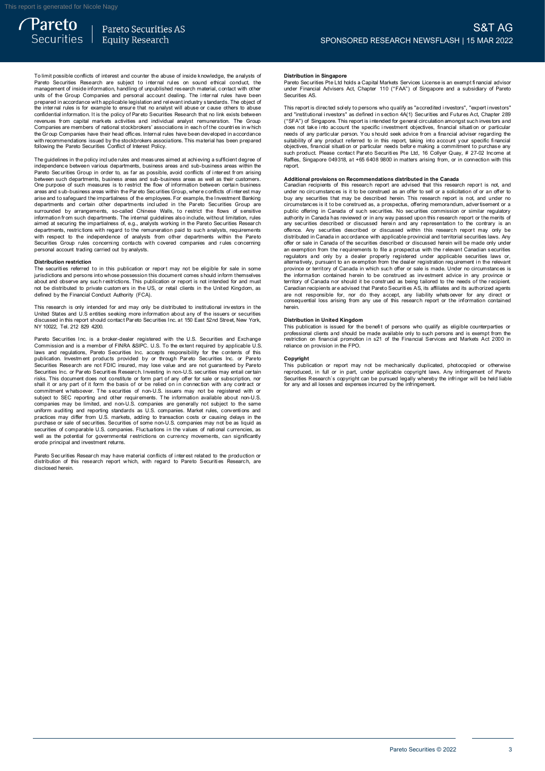**Securities** 

*Pareto* 

Pareto Securities AS **Equity Research** 

To limit possible conflicts of interest and counter the abuse of inside knowledge, the analysts of<br>Pareto Securities Research are subject to internal rules on sound ethical conduct, the<br>management of inside information, ha To limit possible conflicts of interest and counter the abuse of inside knowledge, the analysts of Pareto Securities Research are subject to internal rules on sound ethical conduct, the management of inside information, ha revenues from capital markets activities and individual analyst remuneration. The Group and or the Chapter of the price with applicable legislation and relevant industry standards. The object of the internal rules is for example to ensure that no analyst will abuse or cause others to abuse the internal rules following the Pareto Securities Conflict of Interest Policy. The Group Companies have their head offices. Internal rules have been developed in accordance<br>with recommendations issued by the stockbrokers associations. This material has been prepared<br>following the Pareto Securities Co

independence between various departments, business areas and sub-business areas within the<br>Pareto Securities Group in order to, as far as possible, avoid conflicts of interest from arising Following the Pareto Securities Conflict of Interest Policy.<br>The guidelines in the policy include rules and measures aimed at achieving a sufficient degree of<br>independence between various departments, business areas and su between such departments, business areas and sub-business areas as well as their customers. The guidelines in the policy include rules and measures aimed at achieving a sufficient degree of such measures areas and sub-business areas within the Pareto Securities Group in order to, as far as possible, avoid conflic metro. Securities Group in order to, as far as possible, avoid conflicts of interest from arising<br>between such departments, business areas and sub-business areas as well as their customers.<br>One purpose of such measures is arias and to safeguard the impartialness of the employees. For example, the linvestment Banking departments and certain other departments included in the Pareto Securities Group are surrounded by arrangements, so-called Ch departments, restrictions with regard to the remuneration paid to such analysts, requirements with respect to the independence of analysts from other departments within the Pareto Securities Group and departments. The internal guidelines also include, without limitation, rules aimed at security the impartialness of, e.g., analysts working in the Pareto Securities Research departments, restrictions w mioniano in such ceparations. The interiar<br>aimed at securing the impartialness of, e.g., analysts.<br>departments, restrictions with regard to the ren<br>Securities Group rules concerning contacts w<br>personal account trading carr The securities Group rules concerning contacts with covered companies and rules concerning<br>personal account trading carried out by analysts.<br>The securities referred to in this publication or report may not be eligible for

**Distribution restriction** jurisdictions and persons into whose possession this document comes s hould inform themselves Distribution restriction<br>The securities referred to in this publication or report may not be eligible for sale in some<br>initial citios referred to in this publication or report may not be eligible for sale in some<br>initial c This research is only intended for and must be distributed to private investors in the US, or retail clients in the United Kingdom, as defined by the Financial Conduct Authority (FCA).<br>This research is only intended for an

United States and U.S entities seeking more information about any of the issuers or securities Note that the financial Conduct Authority (FCA).<br>This research is only intended for and may only be distributed to institutional investors in the<br>United States and U.S entities seking more information about any of the issu Pareto Securities Inc. is a broker-dealer registered with the U.S. Securities inc. in the same of securities discussed in this report should contact Pareto Securities Inc. at 150 East 52nd Street, New York, NY 10022, Tel.

of also used in this report should contact Pareto Securities Inc. at 150 East 52nd Street, New York, NY 10022, Tel. 212 829 4200.<br>NY 10022, Tel. 212 829 4200.<br>Commission and is a member of FINRA &SIPC. U.S. To the extent r Pareto Securities Inc. is a broker-dealer registered with the U.S. Securities and Exchange<br>Commission and is a member of FINRA &SIPC. U.S. To the extent required by applicable U.S<br>Idwas and regulations, Pareto Securities I Securities Research are not FDIC insured, may lose value and are not guaranteed by Pareto<br>Securities Research are not FDIC insured, may lose value and are not guaranteed by Pareto<br>Securities Inc. or Pareto Securities Resea prominent whatsoever. The securities of non-U.S. issuers may not be registered with or subject to SEC reporting and other requirements. The information available about non-U.S. companies may be limited, and non-U.S. compan securities of comparies may be limited, and non-U.S. companies are generally not subject to the same<br>uniform auditing and reporting standards as U.S. companies. Market rules, conventions and<br>practices may differ form U.S. erode principal and investment returns. pareto Securities of comparable U.S. comparises. Fluctuations in the values of rational currencies, as<br>well as the potential for governmental restrictions on currency movements, can significantly<br>erode principal and invest

disclosed herein.

## **Distribution in Singapore**

**Distribution in Singapore**<br>Pareto Securities Pte Ltd holds a Capital Markets Services License is an exempt financial advisor<br>under Financial Advisers Act, Chapter 110 ("FAA") of Singapore and a subsidiary of Pareto under Financial Advisers Act, Chapter 110 ("FAA") of Singapore and a subsidiary of Pareto Securities AS. Pareto Securities Pte Ltd holds a Capital Markets Services License is an exempt financial advisor<br>under Financial Advisers Act, Chapter 110 ("FAA") of Singapore and a subsidiary of Pareto<br>Securities AS.<br>This report is dire

ration conditions and a subsidiary of Parent uncertained solutions and a subsidiary of Parent<br>securities AS.<br>This report is directed solely to persons who qualify as "accredited investors", "expert investors"<br>and "institut and "institutional investors" as defined in section 4A(1) Securities and Futures Act, Chapter 289<br>("SFA") of Singapore. This report is intended for general circulation amongst such investors and<br>("SFA") of Singapore. This Raffles, Singapore 049318, at +65 6408 9800 in matters arising from, or in connection with this<br>Renort.

such product. Please contact Pareto Securities Pte Ltd, 16 Collyer Quay, # 27-02 Income at<br>such product. Please contact Pareto Securities Pte Ltd, 16 Collyer Quay, # 27-02 Income at<br>Raffles, Singapore 049318, at +65 6408 9 under no circumstances is it to be construed as an offer to sell or a solicitation of or an offer to buy any securities that may be described herein. This research report is not, and under no circumstances is it to be cons under no circumstances is it to be construed as an offer to sell or a solicitation of or an offer to<br>buy any securities that may be described herein. This research report is not, and under no<br>circumstances is it to be cons offence. Any securities described or discussed within this research report may only be distributed in Canada in accordance with applicable provincial and territorial securities laws. Any offer or sale in Canada of the secu offence. Any securities described or discussed within this research report may only be distributed in Canada in accordance with applicable provincial and territorial securities laws. Any offer or sale in Canada of the secu province or territory of Canada in which such offer or sale is made. Under no circumstances is<br>the information contained herein to be construed as being tailored to the needs of the recipient.<br>Carritory of Canada nor shoul province or territory of Canada in which such offer or sale is made. Under no circumstances is<br>province or territory of Canada in which such offer or sale is made. Under no circumstances is<br>territory of Canada nor should i herein.

**Distribution in United Kingdom** professional clients and should be made available only to such persons and is exempt from the metriction on financial promotion in s21 of the Financial Services and Markets Act 2000 in reliance on provision in the FPO. Frestiction on financial promotion in s21 of the Financial Services and Markets Act 2000 in<br>reliance on provision in the FPO.<br>Copyright<br>This publication or report may not be mechanically duplicated, photocopied or otherwis

Copyright<br>This publication or report may not be mechanically duplicated, photocopied or otherwise reliance on provision in the FPO.<br> **Copyright**<br>
This publication or report may not be mechanically duplicated, photocopied or otherwise<br>
reproduced, in full or in part, under applicable copyright laws. Any infringement of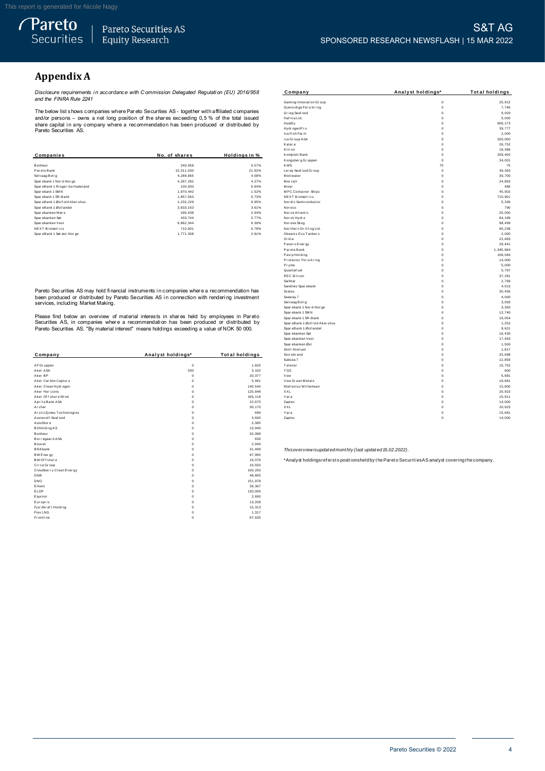*Pareto* 

# **Appendix A**

*Disclosure requirements i n accordance with C ommission Delegated Regulati on (EU) 2016/958 and the FINRA Rule 2241*

|                                  |               |                     | Kitron                 | 0           | 18,386  |
|----------------------------------|---------------|---------------------|------------------------|-------------|---------|
| Companies                        | No. of shares | <b>Holdinasin</b> % | Komplett Bank          | $\Omega$    | 209,400 |
|                                  |               |                     | Kongsberg Gruppen      | $\Omega$    | 34,00   |
| Bonheur                          | 240,958       | 0.57%               | <b>KWS</b>             | 75          | 7:      |
| Pareto Bank                      | 15,311,030    | 21.92%              | Ler øy Seaf ood Gr oup | $\mathbf 0$ | 39,36   |
| Selvaag Bolig                    | 4,289,865     | 4.58%               | Meltwater              | $\mathbf 0$ | 30,70   |
| Sparebank 1 Nor d-Nor ge         | 4.287.282     | 4.27%               | Mercell                | $\Omega$    | 24,86   |
| SpareBank 1 Ringer ike Hadel and | 100,000       | 0.64%               | Mowi                   | $\Omega$    | 48      |
| Sparebank 1 SMN                  | 1,970,442     | 1.52%               | MPC Container Ships    | $\mathbf 0$ | 45,902  |
| Sparebank 1 SR-Bank              | 1,857,563     | 0.73%               | NEXT Biometrics        | 0           | 710,90  |
| SpareBank 1 Østf old Akershus    | 1,232,229     | 9.95%               | Nor dic Semi conductor | $\Omega$    | 5,33    |
| SpareBank 1 Østlandet            | 3,833,163     | 3.61%               | Noreco                 |             | 79      |
| Sparebanken Møre                 | 290,038       | 2.94%               | Norse Atlantic         | $\Omega$    | 25,000  |
| Spar ebanken Sør                 | 433,744       | 2.77%               | Norsk Hydro            | $\Omega$    | 84,189  |
| Spar ebanken Vest                | 6,862,344     | 6.39%               | Nor ske Skog           | $^{\circ}$  | 98,49   |
| NEXT Biometrics                  | 710,901       | 0.78%               | Northern Drilling Ltd. | $\Omega$    | 95,23   |
| SpareBank 1 Sør øst-Nor ge       | 1,771,308     | 2.81%               | Okeanis Eco Tankers    | 0           | 2,00    |

|                          |                   |                       | <b>SIGIT-MIRISRII</b>                                     | v                                                                                                 | 1,01   |
|--------------------------|-------------------|-----------------------|-----------------------------------------------------------|---------------------------------------------------------------------------------------------------|--------|
| Company                  | Analyst holdings* | <b>Total holdings</b> | Stor ebr and                                              | $\Omega$                                                                                          | 25,69  |
|                          |                   |                       | Subsea 7                                                  | $\Omega$                                                                                          | 12,89  |
| AF Gr uppen              | $\mathbf 0$       | 1,825                 | Telenor                                                   | $\Omega$                                                                                          | 15,75  |
| Aker ASA                 | 500               | 3,102                 | <b>TGS</b>                                                | $\Omega$                                                                                          | 60     |
| Aker BP                  | $^{\circ}$        | 20,377                | Vow                                                       | $\Omega$                                                                                          | 5,68   |
| Aker Carbon Capture      | $\Omega$          | 5,481                 | Vow Green Metals                                          | $\Omega$                                                                                          | 19,68  |
| Aker Clean Hydrogen      | $\Omega$          | 140,540               | Wallenius Wilhemsen                                       | $\Omega$                                                                                          | 15,80  |
| Aker Horizons            |                   | 125,848               | XXL                                                       | $\Omega$                                                                                          | 20,92  |
| Aker Of f shore Wind     |                   | 165,118               | Yara                                                      | $\Omega$                                                                                          | 15,91  |
| Aprila Bank ASA          |                   | 22,675                | Zaptec                                                    | $\Omega$                                                                                          | 14,000 |
| Archer                   |                   | 30,170                | XXL                                                       | $\Omega$                                                                                          | 20,92  |
| ArcticZymes Technologies |                   | 684                   | Yara                                                      | $\Omega$                                                                                          | 15,68  |
| Austevoll Seaf ood       | n                 | 3,600                 | Zaptec                                                    | $\mathbf 0$                                                                                       | 14,00  |
| AutoStore                | n                 | 2,085                 |                                                           |                                                                                                   |        |
| B2Holding AS             |                   | 13,940                |                                                           |                                                                                                   |        |
| Bonheur                  |                   | 32,088                |                                                           |                                                                                                   |        |
| Bor regaard ASA          |                   | 650                   |                                                           |                                                                                                   |        |
| Bouvet                   |                   | 2,940                 |                                                           |                                                                                                   |        |
| <b>BRAbank</b>           |                   | 31,499                | Thisoverview isupdated monthly (last updated 15.02.2022). |                                                                                                   |        |
| BW Energy                |                   | 97,965                |                                                           |                                                                                                   |        |
| BW Of f shore            |                   | 16,076                |                                                           | *Analyst holdingsrefersto positionsheld by the Pareto Securities AS analyst covering the company. |        |
| Circa Group              |                   | 16,550                |                                                           |                                                                                                   |        |
| Cloudber ry Clean Energy |                   | 100,250               |                                                           |                                                                                                   |        |
| DNB                      | n                 | 48,805                |                                                           |                                                                                                   |        |
| DNO                      |                   | 151,978               |                                                           |                                                                                                   |        |
| Elkem                    |                   | 39,367                |                                                           |                                                                                                   |        |
| ELOP                     |                   | 130,000               |                                                           |                                                                                                   |        |
| Equinor                  |                   | 2,690                 |                                                           |                                                                                                   |        |
| Europris                 |                   | 13,208                |                                                           |                                                                                                   |        |
| Fjordkraft Holding       |                   | 15,313                |                                                           |                                                                                                   |        |
| Flex LNG                 | $\Omega$          | 1,317                 |                                                           |                                                                                                   |        |
| Frontline                | $\Omega$          | 87,635                |                                                           |                                                                                                   |        |
|                          |                   |                       |                                                           |                                                                                                   |        |

| Appendix A                                                                                   |                                                                                                |                       |                                    |                         |                       |
|----------------------------------------------------------------------------------------------|------------------------------------------------------------------------------------------------|-----------------------|------------------------------------|-------------------------|-----------------------|
| Disclosure requirements in accordance with Commission Delegated Regulation (EU) 2016/958     |                                                                                                |                       | Company                            | Analyst holdings*       | <b>Total holdings</b> |
| and the FINRA Rule 2241                                                                      |                                                                                                |                       | Gaming Innovation Group            | $\circ$                 | 25,912                |
|                                                                                              |                                                                                                |                       | Gjensidige For sikring             | $\mathbf 0$             | 7,746                 |
|                                                                                              | The below list shows companies where Pareto Securities AS - together with affiliated companies |                       | Grieg Seaf ood                     | $\mathbf 0$             | 9,003                 |
|                                                                                              | and/or persons – owns a net long position of the shares exceeding $0.5\%$ of the total issued  |                       | Haf nia Ltd.                       | $\Omega$                | 5,000                 |
|                                                                                              | share capital in any company where a recommendation has been produced or distributed by        |                       | Huddly                             | $\Omega$                | 906, 173              |
| Pareto Securities AS.                                                                        |                                                                                                |                       | Hydr ogenPro                       | $\Omega$                | 39,777                |
|                                                                                              |                                                                                                |                       | Ice Fish Farm<br>ice Group ASA     | $\mathbf 0$<br>$\Omega$ | 2,000<br>200,000      |
|                                                                                              |                                                                                                |                       | Kalera                             | $\Omega$                | 26,752                |
|                                                                                              |                                                                                                |                       | Kitron                             | $\mathbf 0$             | 18,386                |
| Companies                                                                                    | No. of shares                                                                                  | Holdings in %         | Komplett Bank                      | $\Omega$                | 209,400               |
|                                                                                              |                                                                                                |                       | Kongsberg Gruppen                  | $\mathbf{0}$            | 34,001                |
| Bonheur                                                                                      | 240 958                                                                                        | 0.57%                 | <b>KWS</b>                         | 75                      | 75                    |
| Par eto Bank                                                                                 | 15,311,030                                                                                     | 21.92%                | Ler øy Seaf ood Gr oup             | $\Omega$                | 39,363                |
| Selvaag Bolig                                                                                | 4,289,865                                                                                      | 4.58%                 | Meltwater                          | $\mathbf 0$             | 30,700                |
| Sparebank 1 Nor d-Nor ge                                                                     | 4,287,282                                                                                      | 4.27%                 | Mercell                            | $\Omega$                | 24,863                |
| SpareBank 1 Ringer ike Hadeland<br>Sparebank 1 SMN                                           | 100,000<br>1.970.442                                                                           | 0.64%<br>1.52%        | Mowi<br><b>MPC Container Ships</b> | $\mathbf 0$<br>$\circ$  | 486<br>45.902         |
| Sparebank 1 SR-Bank                                                                          | 1,857,563                                                                                      | 0.73%                 | NEXT Biometrics                    | $\Omega$                | 710,901               |
| SpareBank 1 Østfold Akershus                                                                 | 1,232,229                                                                                      | 9.95%                 | Nor dic Semi conductor             | $\mathbf 0$             | 5,336                 |
| SpareBank 1 Østlandet                                                                        | 3,833,163                                                                                      | 3.61%                 | Nor eco                            | $\Omega$                | 790                   |
| Sparebanken Møre                                                                             | 290,038                                                                                        | 2.94%                 | Nor se Atlantic                    | $\mathbf 0$             | 25,000                |
| Spar ebanken Sør                                                                             | 433,744                                                                                        | 2.77%                 | Norsk Hydro                        | $\Omega$                | 84,189                |
| Sparebanken Vest                                                                             | 6,862,344                                                                                      | 6.39%                 | Nor ske Skog                       | $\Omega$                | 98,499                |
| NEXT Biometrics                                                                              | 710,901                                                                                        | 0.78%                 | Nor ther n Drilling Ltd.           | $\Omega$                | 95,238                |
| SpareBank 1 Sørøst-Norge                                                                     | 1,771,308                                                                                      | 2.81%                 | Okeanis Eco Tankers                | $\Omega$                | 2,000                 |
|                                                                                              |                                                                                                |                       | Orkla                              | $\Omega$                | 22,683                |
|                                                                                              |                                                                                                |                       | Panor o Ener gy                    | $\Omega$<br>$\Omega$    | 28,441                |
|                                                                                              |                                                                                                |                       | Par eto Bank<br>Pexip Holding      | $\Omega$                | 1,340,684<br>108,046  |
|                                                                                              |                                                                                                |                       | Protector Forsikring               | $\mathbf 0$             | 14,000                |
|                                                                                              |                                                                                                |                       | Pryme                              | $\Omega$                | 5,000                 |
|                                                                                              |                                                                                                |                       | Quantaf uel                        | $\Omega$                | 5,797                 |
|                                                                                              |                                                                                                |                       | <b>REC Silicon</b>                 | $\Omega$                | 37,281                |
|                                                                                              |                                                                                                |                       | Sal M ar                           | $\mathbf 0$             | 2,799                 |
|                                                                                              | Pareto Securities AS may hold financial instruments in companies where a recommendation has    |                       | Sandnes Sparebank                  | $\mathbf 0$             | 4,013                 |
|                                                                                              |                                                                                                |                       | Scatec                             | $\Omega$                | 30,456                |
|                                                                                              | been produced or distributed by Pareto Securities AS in connection with rendering investment   |                       | Seaway 7<br>Selvaag Bolig          | $\mathbf 0$<br>$\Omega$ | 4,000<br>3.093        |
| services, including Market Making.                                                           |                                                                                                |                       | Spar ebank 1 Nor d-Nor ge          | $\Omega$                | 3,350                 |
|                                                                                              |                                                                                                |                       | Spar ebank 1 SMN                   | $\Omega$                | 12,740                |
|                                                                                              | Please find below an overview of material interests in shares held by employees in Pareto      |                       | Spar ebank 1 SR-Bank               | $\Omega$                | 16,054                |
|                                                                                              | Securities AS, in companies where a recommendation has been produced or distributed by         |                       | SpareBank 1 Østf old Aker shus     | $\mathbf 0$             | 1,252                 |
| Pareto Securities AS. "By material interest" means holdings exceeding a value of NOK 50 000. |                                                                                                |                       | SpareBank 1 Østlandet              | $\Omega$                | 9,621                 |
|                                                                                              |                                                                                                |                       | Spar ebanken Sør                   | $\mathbf 0$             | 16,435                |
|                                                                                              |                                                                                                |                       | Spar ebanken Vest                  | $\mathbf 0$             | 17.463                |
|                                                                                              |                                                                                                |                       | Sparebanken Øst<br>Stolt-Nielsen   | $\Omega$<br>$\Omega$    | 1,500<br>1,817        |
| Company                                                                                      | Analyst holdings*                                                                              | <b>Total holdings</b> | Stor ehr and                       | $\Omega$                | 25,698                |
|                                                                                              |                                                                                                |                       | Subsea 7                           | $\Omega$                | 12,893                |
| AF Gr uppen                                                                                  | $\mathbf{0}$                                                                                   | 1,825                 | Telenor                            | $\Omega$                | 15,752                |
| Aker ASA                                                                                     | 500                                                                                            | 3,102                 | <b>TGS</b>                         | $\Omega$                | 600                   |
| Aker BP                                                                                      | $\bf{0}$                                                                                       | 20,377                | Vow                                | $\Omega$                | 5,681                 |
| Aker Carbon Capture                                                                          | $\mathbf 0$                                                                                    | 5,481                 | Vow Green Metals                   | $\Omega$                | 19,681                |
| Aker Clean Hydrogen                                                                          | $\bf{0}$                                                                                       | 140,540               | Wallenius Wilhemsen                | $\Omega$                | 15,800                |
| Aker Horizons                                                                                | $\Omega$                                                                                       | 125,848               | XXL                                | $\Omega$                | 20,923                |
| Aker Offshore Wind                                                                           | $\Omega$<br>$\Omega$                                                                           | 165,118<br>22,675     | Yara<br>Zaptec                     | $\Omega$<br>$\Omega$    | 15,911<br>14,000      |
| Aprila Bank ASA<br>Archer                                                                    | $^{\circ}$                                                                                     | 30,170                | XXL                                | $\Omega$                | 20,923                |
| ArcticZymes Technologies                                                                     | $\Omega$                                                                                       | 684                   | Yara                               | $\Omega$                | 15,681                |
| Austevoll Seaf ood                                                                           | $\theta$                                                                                       | 3,600                 | Zaptec                             | $\Omega$                | 14,000                |
|                                                                                              |                                                                                                |                       |                                    |                         |                       |